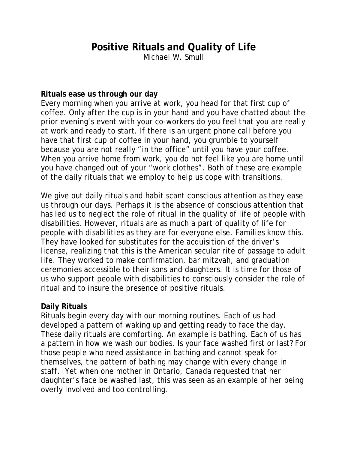# **Positive Rituals and Quality of Life**

Michael W. Smull

#### **Rituals ease us through our day**

Every morning when you arrive at work, you head for that first cup of coffee. Only after the cup is in your hand and you have chatted about the prior evening's event with your co-workers do you feel that you are really at work and ready to start. If there is an urgent phone call before you have that first cup of coffee in your hand, you grumble to yourself because you are not really "in the office" until you have your coffee. When you arrive home from work, you do not feel like you are home until you have changed out of your "work clothes". Both of these are example of the daily rituals that we employ to help us cope with transitions.

We give out daily rituals and habit scant conscious attention as they ease us through our days. Perhaps it is the absence of conscious attention that has led us to neglect the role of ritual in the quality of life of people with disabilities. However, rituals are as much a part of quality of life for people with disabilities as they are for everyone else. Families know this. They have looked for substitutes for the acquisition of the driver's license, realizing that this is the American secular rite of passage to adult life. They worked to make confirmation, bar mitzvah, and graduation ceremonies accessible to their sons and daughters. It is time for those of us who support people with disabilities to consciously consider the role of ritual and to insure the presence of positive rituals.

### **Daily Rituals**

Rituals begin every day with our morning routines. Each of us had developed a pattern of waking up and getting ready to face the day. These daily rituals are comforting. An example is bathing. Each of us has a pattern in how we wash our bodies. Is your face washed first or last? For those people who need assistance in bathing and cannot speak for themselves, the pattern of bathing may change with every change in staff. Yet when one mother in Ontario, Canada requested that her daughter's face be washed last, this was seen as an example of her being overly involved and too controlling.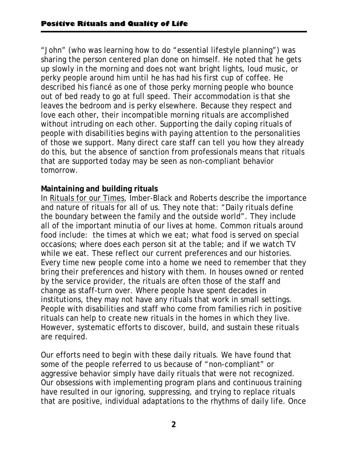"John" (who was learning how to do "essential lifestyle planning") was sharing the person centered plan done on himself. He noted that he gets up slowly in the morning and does not want bright lights, loud music, or perky people around him until he has had his first cup of coffee. He described his fiancé as one of those perky morning people who bounce out of bed ready to go at full speed. Their accommodation is that she leaves the bedroom and is perky elsewhere. Because they respect and love each other, their incompatible morning rituals are accomplished without intruding on each other. Supporting the daily coping rituals of people with disabilities begins with paying attention to the personalities of those we support. Many direct care staff can tell you how they already do this, but the absence of sanction from professionals means that rituals that are supported today may be seen as non-compliant behavior tomorrow.

## **Maintaining and building rituals**

In Rituals for our Times, Imber-Black and Roberts describe the importance and nature of rituals for all of us. They note that: "Daily rituals define the boundary between the family and the outside world". They include all of the important minutia of our lives at home. Common rituals around food include: the times at which we eat; what food is served on special occasions; where does each person sit at the table; and if we watch TV while we eat. These reflect our current preferences and our histories. Every time new people come into a home we need to remember that they bring their preferences and history with them. In houses owned or rented by the service provider, the rituals are often those of the staff and change as staff-turn over. Where people have spent decades in institutions, they may not have any rituals that work in small settings. People with disabilities and staff who come from families rich in positive rituals can help to create new rituals in the homes in which they live. However, systematic efforts to discover, build, and sustain these rituals are required.

Our efforts need to begin with these daily rituals. We have found that some of the people referred to us because of "non-compliant" or aggressive behavior simply have daily rituals that were not recognized. Our obsessions with implementing program plans and continuous training have resulted in our ignoring, suppressing, and trying to replace rituals that are positive, individual adaptations to the rhythms of daily life. Once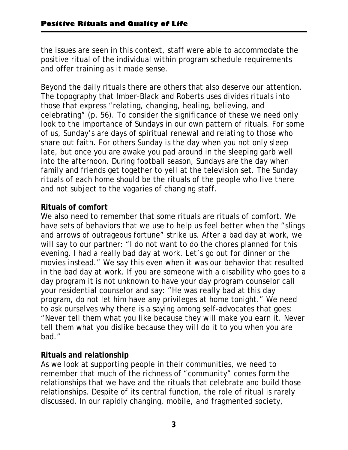the issues are seen in this context, staff were able to accommodate the positive ritual of the individual within program schedule requirements and offer training as it made sense.

Beyond the daily rituals there are others that also deserve our attention. The topography that Imber-Black and Roberts uses divides rituals into those that express "relating, changing, healing, believing, and celebrating" (p. 56). To consider the significance of these we need only look to the importance of Sundays in our own pattern of rituals. For some of us, Sunday's are days of spiritual renewal and relating to those who share out faith. For others Sunday is the day when you not only sleep late, but once you are awake you pad around in the sleeping garb well into the afternoon. During football season, Sundays are the day when family and friends get together to yell at the television set. The Sunday rituals of each home should be the rituals of the people who live there and not subject to the vagaries of changing staff.

# **Rituals of comfort**

We also need to remember that some rituals are rituals of comfort. We have sets of behaviors that we use to help us feel better when the "slings and arrows of outrageous fortune" strike us. After a bad day at work, we will say to our partner: "I do not want to do the chores planned for this evening. I had a really bad day at work. Let's go out for dinner or the movies instead." We say this even when it was our behavior that resulted in the bad day at work. If you are someone with a disability who goes to a day program it is not unknown to have your day program counselor call your residential counselor and say: "He was really bad at this day program, do not let him have any privileges at home tonight." We need to ask ourselves why there is a saying among self-advocates that goes: "Never tell them what you like because they will make you earn it. Never tell them what you dislike because they will do it to you when you are bad."

### **Rituals and relationship**

As we look at supporting people in their communities, we need to remember that much of the richness of "community" comes form the relationships that we have and the rituals that celebrate and build those relationships. Despite of its central function, the role of ritual is rarely discussed. In our rapidly changing, mobile, and fragmented society,